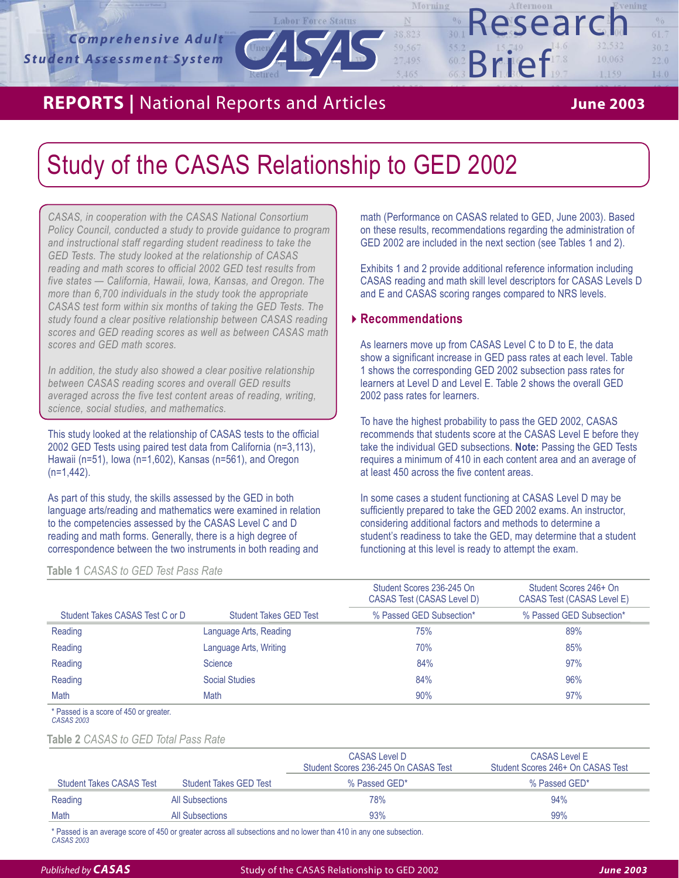# **REPORTS** | National Reports and Articles **June 2003**

1,159

Research

*1*

 $0/0$  $61.7$  $30.2$ 

 $22.0$ 

 $14.0$ 

# Study of the CASAS Relationship to GED 2002

Retired

*CASAS, in cooperation with the CASAS National Consortium Policy Council, conducted a study to provide guidance to program and instructional staff regarding student readiness to take the GED Tests. The study looked at the relationship of CASAS reading and math scores to official 2002 GED test results from five states — California, Hawaii, Iowa, Kansas, and Oregon. The more than 6,700 individuals in the study took the appropriate CASAS test form within six months of taking the GED Tests. The study found a clear positive relationship between CASAS reading scores and GED reading scores as well as between CASAS math scores and GED math scores.* 

*In addition, the study also showed a clear positive relationship between CASAS reading scores and overall GED results averaged across the five test content areas of reading, writing, science, social studies, and mathematics.* 

This study looked at the relationship of CASAS tests to the official 2002 GED Tests using paired test data from California (n=3,113), Hawaii (n=51), Iowa (n=1,602), Kansas (n=561), and Oregon (n=1,442).

As part of this study, the skills assessed by the GED in both language arts/reading and mathematics were examined in relation to the competencies assessed by the CASAS Level C and D reading and math forms. Generally, there is a high degree of correspondence between the two instruments in both reading and

**Table 1** *CASAS to GED Test Pass Rate*

math (Performance on CASAS related to GED, June 2003). Based on these results, recommendations regarding the administration of GED 2002 are included in the next section (see Tables 1 and 2).

Brief

Exhibits 1 and 2 provide additional reference information including CASAS reading and math skill level descriptors for CASAS Levels D and E and CASAS scoring ranges compared to NRS levels.

### **Recommendations**

**Export Force Status | 8 and Articles** | **1988**<br>| **1988**<br>| **1988**<br>| **1988** 

Morning

 $17.495$ 

5,465

 $550$ 

 $60.2$ 

As learners move up from CASAS Level C to D to E, the data show a significant increase in GED pass rates at each level. Table 1 shows the corresponding GED 2002 subsection pass rates for learners at Level D and Level E. Table 2 shows the overall GED 2002 pass rates for learners.

To have the highest probability to pass the GED 2002, CASAS recommends that students score at the CASAS Level E before they take the individual GED subsections. **Note:** Passing the GED Tests requires a minimum of 410 in each content area and an average of at least 450 across the five content areas.

In some cases a student functioning at CASAS Level D may be sufficiently prepared to take the GED 2002 exams. An instructor, considering additional factors and methods to determine a student's readiness to take the GED, may determine that a student functioning at this level is ready to attempt the exam.

|                                 |                               | Student Scores 236-245 On<br>CASAS Test (CASAS Level D) | Student Scores 246+ On<br>CASAS Test (CASAS Level E) |
|---------------------------------|-------------------------------|---------------------------------------------------------|------------------------------------------------------|
| Student Takes CASAS Test C or D | <b>Student Takes GED Test</b> | % Passed GED Subsection*                                | % Passed GED Subsection*                             |
| Reading                         | Language Arts, Reading        | 75%                                                     | 89%                                                  |
| Reading                         | Language Arts, Writing        | 70%                                                     | 85%                                                  |
| Reading                         | Science                       | 84%                                                     | 97%                                                  |
| Reading                         | Social Studies                | 84%                                                     | 96%                                                  |
| Math                            | Math                          | 90%                                                     | 97%                                                  |

\* Passed is a score of 450 or greater. *CASAS 2003*

**Table 2** *CASAS to GED Total Pass Rate*

|                               | CASAS Level D<br>Student Scores 236-245 On CASAS Test | <b>CASAS Level E</b><br>Student Scores 246+ On CASAS Test |
|-------------------------------|-------------------------------------------------------|-----------------------------------------------------------|
| <b>Student Takes GED Test</b> | % Passed GED*                                         | % Passed GED*                                             |
| All Subsections               | 78%                                                   | 94%                                                       |
| All Subsections               | 93%                                                   | 99%                                                       |
|                               |                                                       |                                                           |

\* Passed is an average score of 450 or greater across all subsections and no lower than 410 in any one subsection. *CASAS 2003*